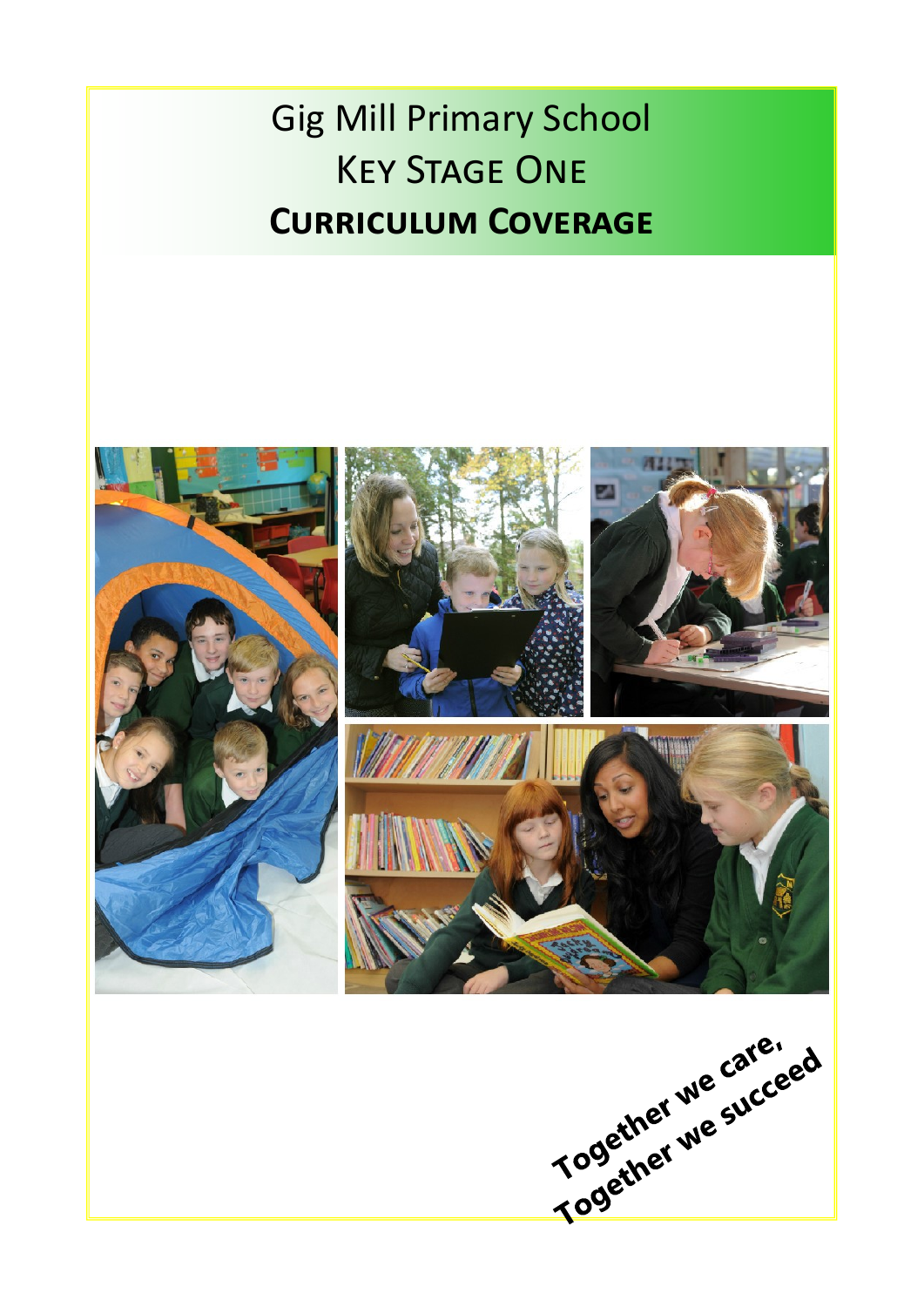# Gig Mill Primary School Key Stage One Key Stage One **Curriculum Coverage Curriculum Coverage**

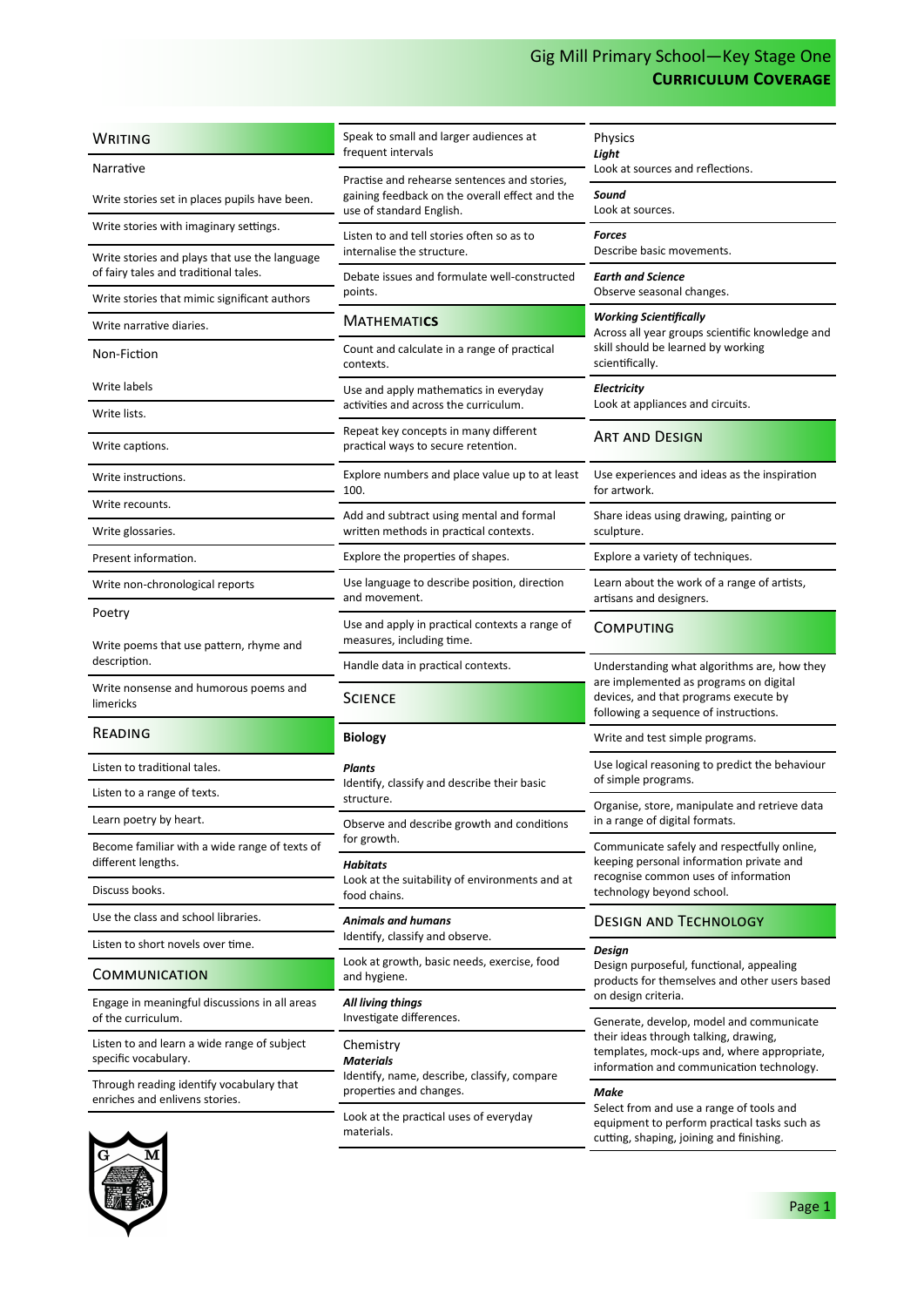| <b>WRITING</b>                                                                         | Speak to small and larger audiences at<br>frequent intervals                                            | <b>Physics</b><br>Light                                                                                                                                      |
|----------------------------------------------------------------------------------------|---------------------------------------------------------------------------------------------------------|--------------------------------------------------------------------------------------------------------------------------------------------------------------|
| Narrative                                                                              | Practise and rehearse sentences and stories,                                                            | Look at sources and reflections.                                                                                                                             |
| Write stories set in places pupils have been.                                          | gaining feedback on the overall effect and the<br>use of standard English.                              | Sound<br>Look at sources.                                                                                                                                    |
| Write stories with imaginary settings.                                                 | Listen to and tell stories often so as to                                                               | Forces<br>Describe basic movements.                                                                                                                          |
| Write stories and plays that use the language<br>of fairy tales and traditional tales. | internalise the structure.<br>Debate issues and formulate well-constructed                              | <b>Earth and Science</b>                                                                                                                                     |
| Write stories that mimic significant authors                                           | points.                                                                                                 | Observe seasonal changes.                                                                                                                                    |
| Write narrative diaries.                                                               | <b>MATHEMATICS</b>                                                                                      | Working Scientifically<br>Across all year groups scientific knowledge and<br>skill should be learned by working<br>scientifically.                           |
| Non-Fiction                                                                            | Count and calculate in a range of practical<br>contexts.                                                |                                                                                                                                                              |
| Write labels                                                                           | Use and apply mathematics in everyday                                                                   | <b>Electricity</b>                                                                                                                                           |
| Write lists.                                                                           | activities and across the curriculum.                                                                   | Look at appliances and circuits.                                                                                                                             |
| Write captions.                                                                        | Repeat key concepts in many different<br>practical ways to secure retention.                            | <b>ART AND DESIGN</b>                                                                                                                                        |
| Write instructions.                                                                    | Explore numbers and place value up to at least<br>100.                                                  | Use experiences and ideas as the inspiration<br>for artwork.                                                                                                 |
| Write recounts.                                                                        | Add and subtract using mental and formal                                                                | Share ideas using drawing, painting or                                                                                                                       |
| Write glossaries.                                                                      | written methods in practical contexts.                                                                  | sculpture.                                                                                                                                                   |
| Present information.                                                                   | Explore the properties of shapes.                                                                       | Explore a variety of techniques.                                                                                                                             |
| Write non-chronological reports                                                        | Use language to describe position, direction<br>and movement.                                           | Learn about the work of a range of artists,<br>artisans and designers.                                                                                       |
| Poetry                                                                                 | Use and apply in practical contexts a range of                                                          | <b>COMPUTING</b>                                                                                                                                             |
| Write poems that use pattern, rhyme and<br>description.                                | measures, including time.                                                                               |                                                                                                                                                              |
|                                                                                        | Handle data in practical contexts.                                                                      | Understanding what algorithms are, how they<br>are implemented as programs on digital                                                                        |
| Write nonsense and humorous poems and<br>limericks                                     | <b>SCIENCE</b>                                                                                          | devices, and that programs execute by<br>following a sequence of instructions.                                                                               |
| READING                                                                                | <b>Biology</b>                                                                                          | Write and test simple programs.                                                                                                                              |
| Listen to traditional tales.                                                           | Plants<br>Identify, classify and describe their basic<br>structure.                                     | Use logical reasoning to predict the behaviour<br>of simple programs.                                                                                        |
| Listen to a range of texts.                                                            |                                                                                                         | Organise, store, manipulate and retrieve data                                                                                                                |
| Learn poetry by heart.                                                                 | Observe and describe growth and conditions                                                              | in a range of digital formats.                                                                                                                               |
| Become familiar with a wide range of texts of<br>different lengths.                    | for growth.                                                                                             | Communicate safely and respectfully online,<br>keeping personal information private and<br>recognise common uses of information<br>technology beyond school. |
| Discuss books.                                                                         | <b>Habitats</b><br>Look at the suitability of environments and at<br>food chains.                       |                                                                                                                                                              |
| Use the class and school libraries.                                                    | <b>Animals and humans</b>                                                                               | <b>DESIGN AND TECHNOLOGY</b>                                                                                                                                 |
| Listen to short novels over time.                                                      | Identify, classify and observe.                                                                         | Design                                                                                                                                                       |
| COMMUNICATION                                                                          | Look at growth, basic needs, exercise, food<br>and hygiene.                                             | Design purposeful, functional, appealing<br>products for themselves and other users based                                                                    |
| Engage in meaningful discussions in all areas<br>of the curriculum.                    | All living things<br>Investigate differences.                                                           | on design criteria.<br>Generate, develop, model and communicate                                                                                              |
| Listen to and learn a wide range of subject<br>specific vocabulary.                    | Chemistry<br><b>Materials</b><br>Identify, name, describe, classify, compare<br>properties and changes. | their ideas through talking, drawing,<br>templates, mock-ups and, where appropriate,<br>information and communication technology.                            |
| Through reading identify vocabulary that<br>enriches and enlivens stories.             |                                                                                                         | Make                                                                                                                                                         |
|                                                                                        | Look at the practical uses of everyday<br>materials.                                                    | Select from and use a range of tools and<br>equipment to perform practical tasks such as<br>cutting, shaping, joining and finishing.                         |

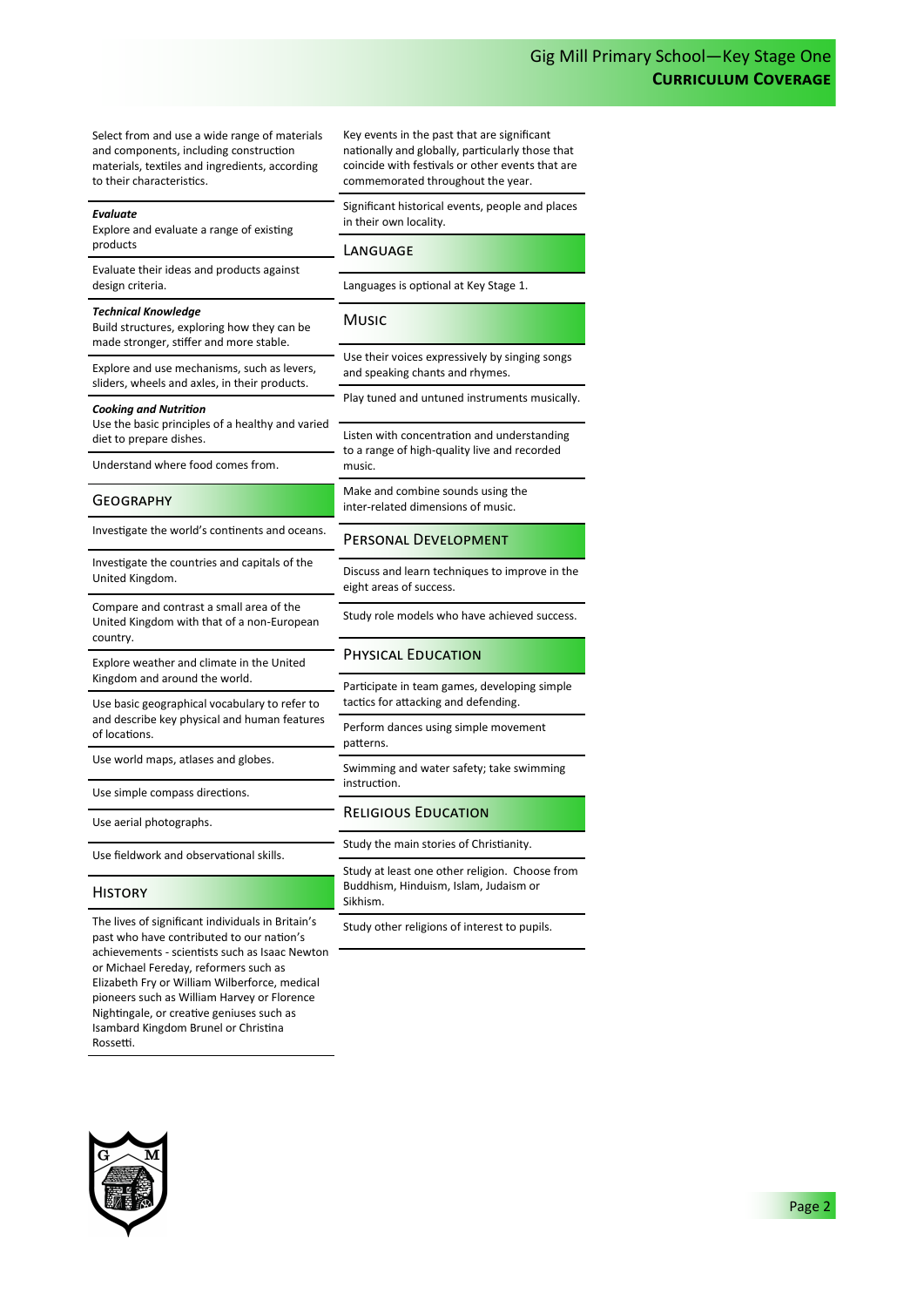Select from and use a wide range of materials and components, including construction materials, textiles and ingredients, according to their characteristics.

#### *Evaluate*

Explore and evaluate a range of existing products

Evaluate their ideas and products against design criteria.

*Technical Knowledge*

Build structures, exploring how they can be made stronger, stiffer and more stable.

Explore and use mechanisms, such as levers, sliders, wheels and axles, in their products.

*Cooking and Nutrition*

Use the basic principles of a healthy and varied diet to prepare dishes.

Understand where food comes from.

#### **GEOGRAPHY**

Investigate the world's continents and oceans.

Investigate the countries and capitals of the United Kingdom.

Compare and contrast a small area of the United Kingdom with that of a non-European country.

Explore weather and climate in the United Kingdom and around the world.

Use basic geographical vocabulary to refer to and describe key physical and human features of locations.

Use world maps, atlases and globes.

Use simple compass directions.

Use aerial photographs.

Use fieldwork and observational skills.

## **HISTORY**

The lives of significant individuals in Britain's past who have contributed to our nation's achievements - scientists such as Isaac Newton or Michael Fereday, reformers such as Elizabeth Fry or William Wilberforce, medical pioneers such as William Harvey or Florence Nightingale, or creative geniuses such as Isambard Kingdom Brunel or Christina Rossetti.

Key events in the past that are significant nationally and globally, particularly those that coincide with festivals or other events that are commemorated throughout the year.

Significant historical events, people and places in their own locality.

## Language

Languages is optional at Key Stage 1.

## **Music**

Use their voices expressively by singing songs and speaking chants and rhymes.

Play tuned and untuned instruments musically.

Listen with concentration and understanding to a range of high-quality live and recorded music.

Make and combine sounds using the inter-related dimensions of music.

### Personal Development

Discuss and learn techniques to improve in the eight areas of success.

Study role models who have achieved success.

## Physical Education

Participate in team games, developing simple tactics for attacking and defending.

Perform dances using simple movement patterns.

Swimming and water safety; take swimming instruction.

#### Religious Education

Study the main stories of Christianity.

Study at least one other religion. Choose from Buddhism, Hinduism, Islam, Judaism or Sikhism.

Study other religions of interest to pupils.



Page 2